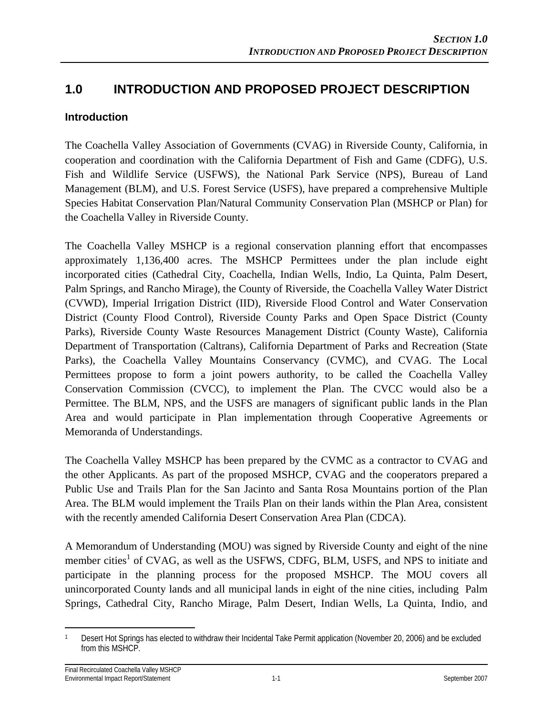## **1.0 INTRODUCTION AND PROPOSED PROJECT DESCRIPTION**

### **Introduction**

The Coachella Valley Association of Governments (CVAG) in Riverside County, California, in cooperation and coordination with the California Department of Fish and Game (CDFG), U.S. Fish and Wildlife Service (USFWS), the National Park Service (NPS), Bureau of Land Management (BLM), and U.S. Forest Service (USFS), have prepared a comprehensive Multiple Species Habitat Conservation Plan/Natural Community Conservation Plan (MSHCP or Plan) for the Coachella Valley in Riverside County.

The Coachella Valley MSHCP is a regional conservation planning effort that encompasses approximately 1,136,400 acres. The MSHCP Permittees under the plan include eight incorporated cities (Cathedral City, Coachella, Indian Wells, Indio, La Quinta, Palm Desert, Palm Springs, and Rancho Mirage), the County of Riverside, the Coachella Valley Water District (CVWD), Imperial Irrigation District (IID), Riverside Flood Control and Water Conservation District (County Flood Control), Riverside County Parks and Open Space District (County Parks), Riverside County Waste Resources Management District (County Waste), California Department of Transportation (Caltrans), California Department of Parks and Recreation (State Parks), the Coachella Valley Mountains Conservancy (CVMC), and CVAG. The Local Permittees propose to form a joint powers authority, to be called the Coachella Valley Conservation Commission (CVCC), to implement the Plan. The CVCC would also be a Permittee. The BLM, NPS, and the USFS are managers of significant public lands in the Plan Area and would participate in Plan implementation through Cooperative Agreements or Memoranda of Understandings.

The Coachella Valley MSHCP has been prepared by the CVMC as a contractor to CVAG and the other Applicants. As part of the proposed MSHCP, CVAG and the cooperators prepared a Public Use and Trails Plan for the San Jacinto and Santa Rosa Mountains portion of the Plan Area. The BLM would implement the Trails Plan on their lands within the Plan Area, consistent with the recently amended California Desert Conservation Area Plan (CDCA).

A Memorandum of Understanding (MOU) was signed by Riverside County and eight of the nine member cities<sup>1</sup> of CVAG, as well as the USFWS, CDFG, BLM, USFS, and NPS to initiate and participate in the planning process for the proposed MSHCP. The MOU covers all unincorporated County lands and all municipal lands in eight of the nine cities, including Palm Springs, Cathedral City, Rancho Mirage, Palm Desert, Indian Wells, La Quinta, Indio, and

 $\overline{a}$ 1 Desert Hot Springs has elected to withdraw their Incidental Take Permit application (November 20, 2006) and be excluded from this MSHCP.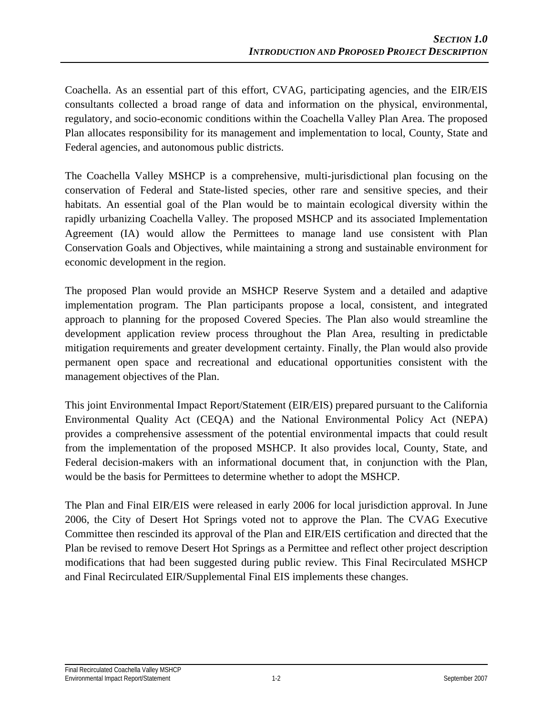Coachella. As an essential part of this effort, CVAG, participating agencies, and the EIR/EIS consultants collected a broad range of data and information on the physical, environmental, regulatory, and socio-economic conditions within the Coachella Valley Plan Area. The proposed Plan allocates responsibility for its management and implementation to local, County, State and Federal agencies, and autonomous public districts.

The Coachella Valley MSHCP is a comprehensive, multi-jurisdictional plan focusing on the conservation of Federal and State-listed species, other rare and sensitive species, and their habitats. An essential goal of the Plan would be to maintain ecological diversity within the rapidly urbanizing Coachella Valley. The proposed MSHCP and its associated Implementation Agreement (IA) would allow the Permittees to manage land use consistent with Plan Conservation Goals and Objectives, while maintaining a strong and sustainable environment for economic development in the region.

The proposed Plan would provide an MSHCP Reserve System and a detailed and adaptive implementation program. The Plan participants propose a local, consistent, and integrated approach to planning for the proposed Covered Species. The Plan also would streamline the development application review process throughout the Plan Area, resulting in predictable mitigation requirements and greater development certainty. Finally, the Plan would also provide permanent open space and recreational and educational opportunities consistent with the management objectives of the Plan.

This joint Environmental Impact Report/Statement (EIR/EIS) prepared pursuant to the California Environmental Quality Act (CEQA) and the National Environmental Policy Act (NEPA) provides a comprehensive assessment of the potential environmental impacts that could result from the implementation of the proposed MSHCP. It also provides local, County, State, and Federal decision-makers with an informational document that, in conjunction with the Plan, would be the basis for Permittees to determine whether to adopt the MSHCP.

The Plan and Final EIR/EIS were released in early 2006 for local jurisdiction approval. In June 2006, the City of Desert Hot Springs voted not to approve the Plan. The CVAG Executive Committee then rescinded its approval of the Plan and EIR/EIS certification and directed that the Plan be revised to remove Desert Hot Springs as a Permittee and reflect other project description modifications that had been suggested during public review. This Final Recirculated MSHCP and Final Recirculated EIR/Supplemental Final EIS implements these changes.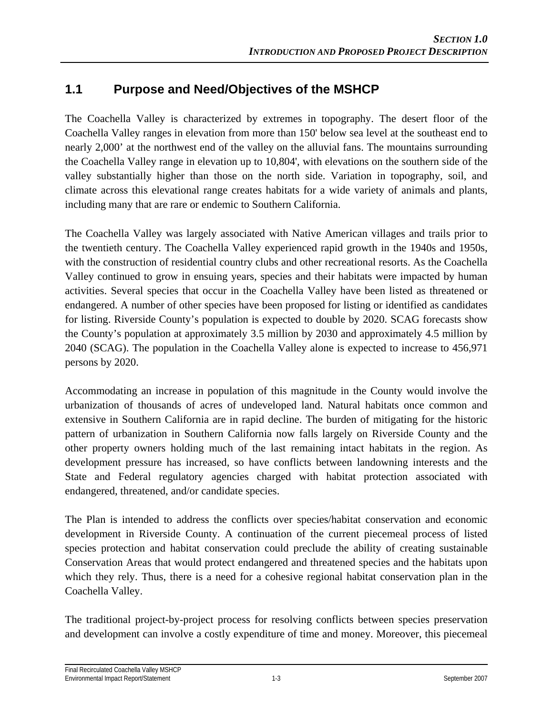## **1.1 Purpose and Need/Objectives of the MSHCP**

The Coachella Valley is characterized by extremes in topography. The desert floor of the Coachella Valley ranges in elevation from more than 150' below sea level at the southeast end to nearly 2,000' at the northwest end of the valley on the alluvial fans. The mountains surrounding the Coachella Valley range in elevation up to 10,804', with elevations on the southern side of the valley substantially higher than those on the north side. Variation in topography, soil, and climate across this elevational range creates habitats for a wide variety of animals and plants, including many that are rare or endemic to Southern California.

The Coachella Valley was largely associated with Native American villages and trails prior to the twentieth century. The Coachella Valley experienced rapid growth in the 1940s and 1950s, with the construction of residential country clubs and other recreational resorts. As the Coachella Valley continued to grow in ensuing years, species and their habitats were impacted by human activities. Several species that occur in the Coachella Valley have been listed as threatened or endangered. A number of other species have been proposed for listing or identified as candidates for listing. Riverside County's population is expected to double by 2020. SCAG forecasts show the County's population at approximately 3.5 million by 2030 and approximately 4.5 million by 2040 (SCAG). The population in the Coachella Valley alone is expected to increase to 456,971 persons by 2020.

Accommodating an increase in population of this magnitude in the County would involve the urbanization of thousands of acres of undeveloped land. Natural habitats once common and extensive in Southern California are in rapid decline. The burden of mitigating for the historic pattern of urbanization in Southern California now falls largely on Riverside County and the other property owners holding much of the last remaining intact habitats in the region. As development pressure has increased, so have conflicts between landowning interests and the State and Federal regulatory agencies charged with habitat protection associated with endangered, threatened, and/or candidate species.

The Plan is intended to address the conflicts over species/habitat conservation and economic development in Riverside County. A continuation of the current piecemeal process of listed species protection and habitat conservation could preclude the ability of creating sustainable Conservation Areas that would protect endangered and threatened species and the habitats upon which they rely. Thus, there is a need for a cohesive regional habitat conservation plan in the Coachella Valley.

The traditional project-by-project process for resolving conflicts between species preservation and development can involve a costly expenditure of time and money. Moreover, this piecemeal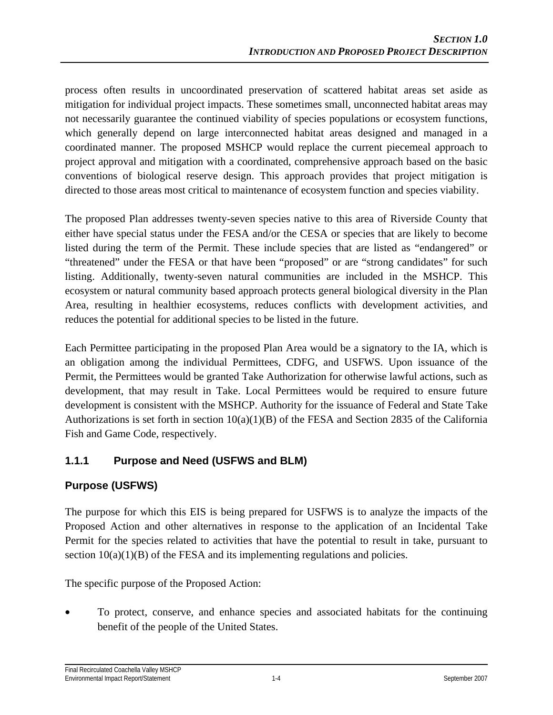process often results in uncoordinated preservation of scattered habitat areas set aside as mitigation for individual project impacts. These sometimes small, unconnected habitat areas may not necessarily guarantee the continued viability of species populations or ecosystem functions, which generally depend on large interconnected habitat areas designed and managed in a coordinated manner. The proposed MSHCP would replace the current piecemeal approach to project approval and mitigation with a coordinated, comprehensive approach based on the basic conventions of biological reserve design. This approach provides that project mitigation is directed to those areas most critical to maintenance of ecosystem function and species viability.

The proposed Plan addresses twenty-seven species native to this area of Riverside County that either have special status under the FESA and/or the CESA or species that are likely to become listed during the term of the Permit. These include species that are listed as "endangered" or "threatened" under the FESA or that have been "proposed" or are "strong candidates" for such listing. Additionally, twenty-seven natural communities are included in the MSHCP. This ecosystem or natural community based approach protects general biological diversity in the Plan Area, resulting in healthier ecosystems, reduces conflicts with development activities, and reduces the potential for additional species to be listed in the future.

Each Permittee participating in the proposed Plan Area would be a signatory to the IA, which is an obligation among the individual Permittees, CDFG, and USFWS. Upon issuance of the Permit, the Permittees would be granted Take Authorization for otherwise lawful actions, such as development, that may result in Take. Local Permittees would be required to ensure future development is consistent with the MSHCP. Authority for the issuance of Federal and State Take Authorizations is set forth in section  $10(a)(1)(B)$  of the FESA and Section 2835 of the California Fish and Game Code, respectively.

## **1.1.1 Purpose and Need (USFWS and BLM)**

## **Purpose (USFWS)**

The purpose for which this EIS is being prepared for USFWS is to analyze the impacts of the Proposed Action and other alternatives in response to the application of an Incidental Take Permit for the species related to activities that have the potential to result in take, pursuant to section  $10(a)(1)(B)$  of the FESA and its implementing regulations and policies.

The specific purpose of the Proposed Action:

• To protect, conserve, and enhance species and associated habitats for the continuing benefit of the people of the United States.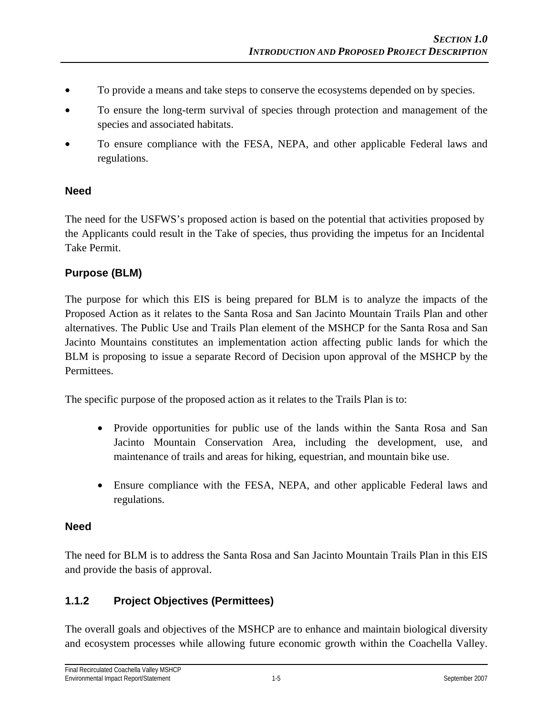- To provide a means and take steps to conserve the ecosystems depended on by species.
- To ensure the long-term survival of species through protection and management of the species and associated habitats.
- To ensure compliance with the FESA, NEPA, and other applicable Federal laws and regulations.

#### **Need**

The need for the USFWS's proposed action is based on the potential that activities proposed by the Applicants could result in the Take of species, thus providing the impetus for an Incidental Take Permit.

#### **Purpose (BLM)**

The purpose for which this EIS is being prepared for BLM is to analyze the impacts of the Proposed Action as it relates to the Santa Rosa and San Jacinto Mountain Trails Plan and other alternatives. The Public Use and Trails Plan element of the MSHCP for the Santa Rosa and San Jacinto Mountains constitutes an implementation action affecting public lands for which the BLM is proposing to issue a separate Record of Decision upon approval of the MSHCP by the Permittees.

The specific purpose of the proposed action as it relates to the Trails Plan is to:

- Provide opportunities for public use of the lands within the Santa Rosa and San Jacinto Mountain Conservation Area, including the development, use, and maintenance of trails and areas for hiking, equestrian, and mountain bike use.
- Ensure compliance with the FESA, NEPA, and other applicable Federal laws and regulations.

#### **Need**

The need for BLM is to address the Santa Rosa and San Jacinto Mountain Trails Plan in this EIS and provide the basis of approval.

#### **1.1.2 Project Objectives (Permittees)**

The overall goals and objectives of the MSHCP are to enhance and maintain biological diversity and ecosystem processes while allowing future economic growth within the Coachella Valley.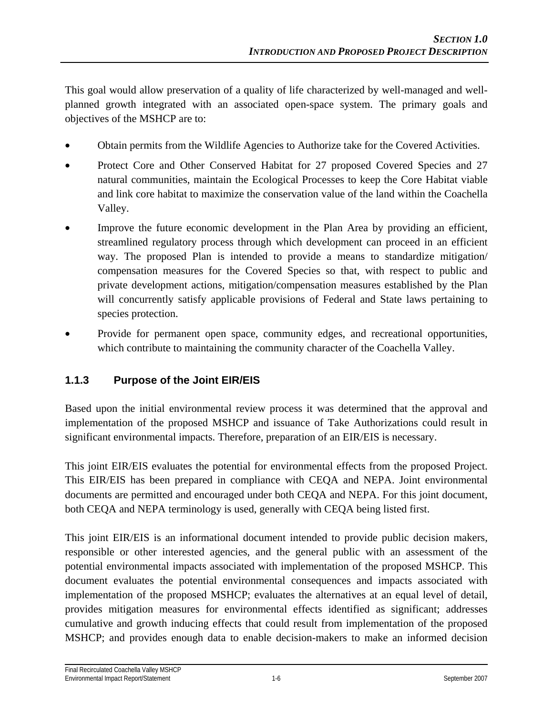This goal would allow preservation of a quality of life characterized by well-managed and wellplanned growth integrated with an associated open-space system. The primary goals and objectives of the MSHCP are to:

- Obtain permits from the Wildlife Agencies to Authorize take for the Covered Activities.
- Protect Core and Other Conserved Habitat for 27 proposed Covered Species and 27 natural communities, maintain the Ecological Processes to keep the Core Habitat viable and link core habitat to maximize the conservation value of the land within the Coachella Valley.
- Improve the future economic development in the Plan Area by providing an efficient, streamlined regulatory process through which development can proceed in an efficient way. The proposed Plan is intended to provide a means to standardize mitigation/ compensation measures for the Covered Species so that, with respect to public and private development actions, mitigation/compensation measures established by the Plan will concurrently satisfy applicable provisions of Federal and State laws pertaining to species protection.
- Provide for permanent open space, community edges, and recreational opportunities, which contribute to maintaining the community character of the Coachella Valley.

## **1.1.3 Purpose of the Joint EIR/EIS**

Based upon the initial environmental review process it was determined that the approval and implementation of the proposed MSHCP and issuance of Take Authorizations could result in significant environmental impacts. Therefore, preparation of an EIR/EIS is necessary.

This joint EIR/EIS evaluates the potential for environmental effects from the proposed Project. This EIR/EIS has been prepared in compliance with CEQA and NEPA. Joint environmental documents are permitted and encouraged under both CEQA and NEPA. For this joint document, both CEQA and NEPA terminology is used, generally with CEQA being listed first.

This joint EIR/EIS is an informational document intended to provide public decision makers, responsible or other interested agencies, and the general public with an assessment of the potential environmental impacts associated with implementation of the proposed MSHCP. This document evaluates the potential environmental consequences and impacts associated with implementation of the proposed MSHCP; evaluates the alternatives at an equal level of detail, provides mitigation measures for environmental effects identified as significant; addresses cumulative and growth inducing effects that could result from implementation of the proposed MSHCP; and provides enough data to enable decision-makers to make an informed decision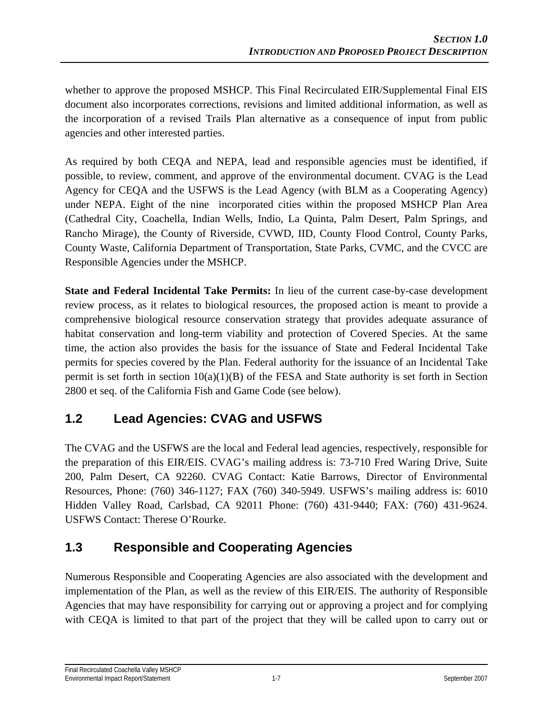whether to approve the proposed MSHCP. This Final Recirculated EIR/Supplemental Final EIS document also incorporates corrections, revisions and limited additional information, as well as the incorporation of a revised Trails Plan alternative as a consequence of input from public agencies and other interested parties.

As required by both CEQA and NEPA, lead and responsible agencies must be identified, if possible, to review, comment, and approve of the environmental document. CVAG is the Lead Agency for CEQA and the USFWS is the Lead Agency (with BLM as a Cooperating Agency) under NEPA. Eight of the nine incorporated cities within the proposed MSHCP Plan Area (Cathedral City, Coachella, Indian Wells, Indio, La Quinta, Palm Desert, Palm Springs, and Rancho Mirage), the County of Riverside, CVWD, IID, County Flood Control, County Parks, County Waste, California Department of Transportation, State Parks, CVMC, and the CVCC are Responsible Agencies under the MSHCP.

**State and Federal Incidental Take Permits:** In lieu of the current case-by-case development review process, as it relates to biological resources, the proposed action is meant to provide a comprehensive biological resource conservation strategy that provides adequate assurance of habitat conservation and long-term viability and protection of Covered Species. At the same time, the action also provides the basis for the issuance of State and Federal Incidental Take permits for species covered by the Plan. Federal authority for the issuance of an Incidental Take permit is set forth in section  $10(a)(1)(B)$  of the FESA and State authority is set forth in Section 2800 et seq. of the California Fish and Game Code (see below).

# **1.2 Lead Agencies: CVAG and USFWS**

The CVAG and the USFWS are the local and Federal lead agencies, respectively, responsible for the preparation of this EIR/EIS. CVAG's mailing address is: 73-710 Fred Waring Drive, Suite 200, Palm Desert, CA 92260. CVAG Contact: Katie Barrows, Director of Environmental Resources, Phone: (760) 346-1127; FAX (760) 340-5949. USFWS's mailing address is: 6010 Hidden Valley Road, Carlsbad, CA 92011 Phone: (760) 431-9440; FAX: (760) 431-9624. USFWS Contact: Therese O'Rourke.

# **1.3 Responsible and Cooperating Agencies**

Numerous Responsible and Cooperating Agencies are also associated with the development and implementation of the Plan, as well as the review of this EIR/EIS. The authority of Responsible Agencies that may have responsibility for carrying out or approving a project and for complying with CEQA is limited to that part of the project that they will be called upon to carry out or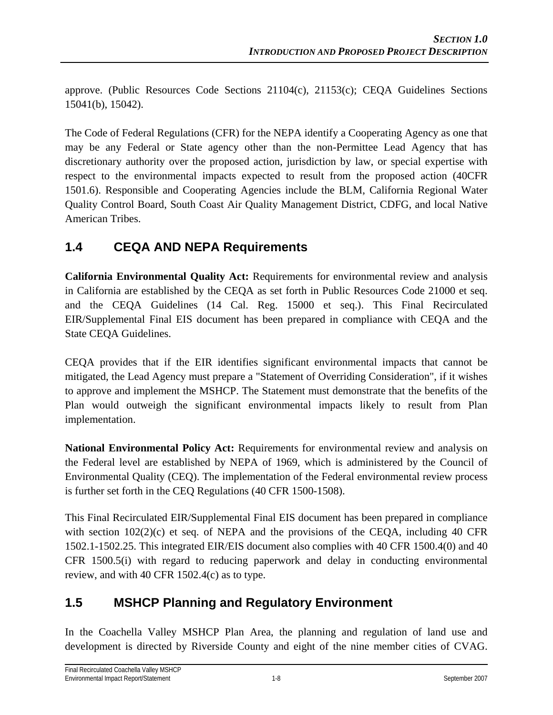approve. (Public Resources Code Sections 21104(c), 21153(c); CEQA Guidelines Sections 15041(b), 15042).

The Code of Federal Regulations (CFR) for the NEPA identify a Cooperating Agency as one that may be any Federal or State agency other than the non-Permittee Lead Agency that has discretionary authority over the proposed action, jurisdiction by law, or special expertise with respect to the environmental impacts expected to result from the proposed action (40CFR 1501.6). Responsible and Cooperating Agencies include the BLM, California Regional Water Quality Control Board, South Coast Air Quality Management District, CDFG, and local Native American Tribes.

## **1.4 CEQA AND NEPA Requirements**

**California Environmental Quality Act:** Requirements for environmental review and analysis in California are established by the CEQA as set forth in Public Resources Code 21000 et seq. and the CEQA Guidelines (14 Cal. Reg. 15000 et seq.). This Final Recirculated EIR/Supplemental Final EIS document has been prepared in compliance with CEQA and the State CEQA Guidelines.

CEQA provides that if the EIR identifies significant environmental impacts that cannot be mitigated, the Lead Agency must prepare a "Statement of Overriding Consideration", if it wishes to approve and implement the MSHCP. The Statement must demonstrate that the benefits of the Plan would outweigh the significant environmental impacts likely to result from Plan implementation.

**National Environmental Policy Act:** Requirements for environmental review and analysis on the Federal level are established by NEPA of 1969, which is administered by the Council of Environmental Quality (CEQ). The implementation of the Federal environmental review process is further set forth in the CEQ Regulations (40 CFR 1500-1508).

This Final Recirculated EIR/Supplemental Final EIS document has been prepared in compliance with section  $102(2)(c)$  et seq. of NEPA and the provisions of the CEQA, including 40 CFR 1502.1-1502.25. This integrated EIR/EIS document also complies with 40 CFR 1500.4(0) and 40 CFR 1500.5(i) with regard to reducing paperwork and delay in conducting environmental review, and with 40 CFR 1502.4(c) as to type.

## **1.5 MSHCP Planning and Regulatory Environment**

In the Coachella Valley MSHCP Plan Area, the planning and regulation of land use and development is directed by Riverside County and eight of the nine member cities of CVAG.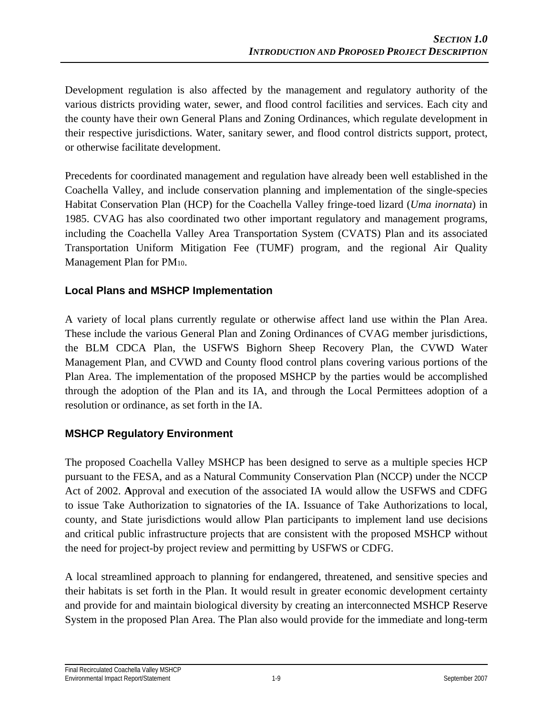Development regulation is also affected by the management and regulatory authority of the various districts providing water, sewer, and flood control facilities and services. Each city and the county have their own General Plans and Zoning Ordinances, which regulate development in their respective jurisdictions. Water, sanitary sewer, and flood control districts support, protect, or otherwise facilitate development.

Precedents for coordinated management and regulation have already been well established in the Coachella Valley, and include conservation planning and implementation of the single-species Habitat Conservation Plan (HCP) for the Coachella Valley fringe-toed lizard (*Uma inornata*) in 1985. CVAG has also coordinated two other important regulatory and management programs, including the Coachella Valley Area Transportation System (CVATS) Plan and its associated Transportation Uniform Mitigation Fee (TUMF) program, and the regional Air Quality Management Plan for PM10.

### **Local Plans and MSHCP Implementation**

A variety of local plans currently regulate or otherwise affect land use within the Plan Area. These include the various General Plan and Zoning Ordinances of CVAG member jurisdictions, the BLM CDCA Plan, the USFWS Bighorn Sheep Recovery Plan, the CVWD Water Management Plan, and CVWD and County flood control plans covering various portions of the Plan Area. The implementation of the proposed MSHCP by the parties would be accomplished through the adoption of the Plan and its IA, and through the Local Permittees adoption of a resolution or ordinance, as set forth in the IA.

#### **MSHCP Regulatory Environment**

The proposed Coachella Valley MSHCP has been designed to serve as a multiple species HCP pursuant to the FESA, and as a Natural Community Conservation Plan (NCCP) under the NCCP Act of 2002. **A**pproval and execution of the associated IA would allow the USFWS and CDFG to issue Take Authorization to signatories of the IA. Issuance of Take Authorizations to local, county, and State jurisdictions would allow Plan participants to implement land use decisions and critical public infrastructure projects that are consistent with the proposed MSHCP without the need for project-by project review and permitting by USFWS or CDFG.

A local streamlined approach to planning for endangered, threatened, and sensitive species and their habitats is set forth in the Plan. It would result in greater economic development certainty and provide for and maintain biological diversity by creating an interconnected MSHCP Reserve System in the proposed Plan Area. The Plan also would provide for the immediate and long-term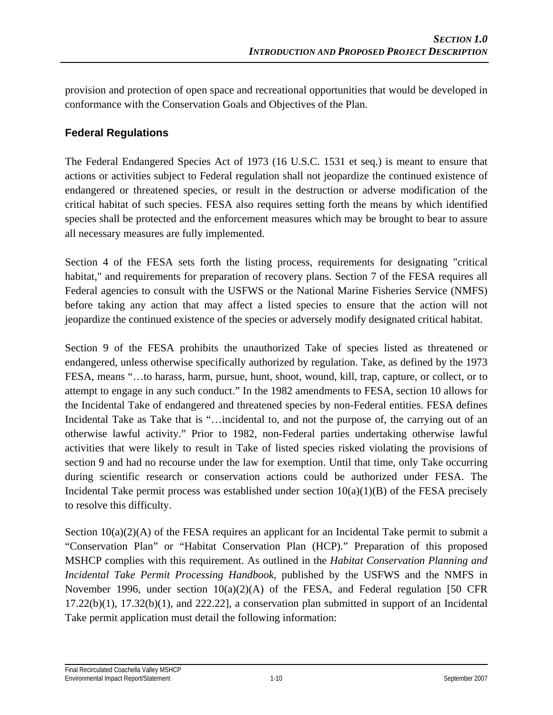provision and protection of open space and recreational opportunities that would be developed in conformance with the Conservation Goals and Objectives of the Plan.

### **Federal Regulations**

The Federal Endangered Species Act of 1973 (16 U.S.C. 1531 et seq.) is meant to ensure that actions or activities subject to Federal regulation shall not jeopardize the continued existence of endangered or threatened species, or result in the destruction or adverse modification of the critical habitat of such species. FESA also requires setting forth the means by which identified species shall be protected and the enforcement measures which may be brought to bear to assure all necessary measures are fully implemented.

Section 4 of the FESA sets forth the listing process, requirements for designating "critical habitat," and requirements for preparation of recovery plans. Section 7 of the FESA requires all Federal agencies to consult with the USFWS or the National Marine Fisheries Service (NMFS) before taking any action that may affect a listed species to ensure that the action will not jeopardize the continued existence of the species or adversely modify designated critical habitat.

Section 9 of the FESA prohibits the unauthorized Take of species listed as threatened or endangered, unless otherwise specifically authorized by regulation. Take, as defined by the 1973 FESA, means "…to harass, harm, pursue, hunt, shoot, wound, kill, trap, capture, or collect, or to attempt to engage in any such conduct." In the 1982 amendments to FESA, section 10 allows for the Incidental Take of endangered and threatened species by non-Federal entities. FESA defines Incidental Take as Take that is "…incidental to, and not the purpose of, the carrying out of an otherwise lawful activity." Prior to 1982, non-Federal parties undertaking otherwise lawful activities that were likely to result in Take of listed species risked violating the provisions of section 9 and had no recourse under the law for exemption. Until that time, only Take occurring during scientific research or conservation actions could be authorized under FESA. The Incidental Take permit process was established under section  $10(a)(1)(B)$  of the FESA precisely to resolve this difficulty.

Section  $10(a)(2)(A)$  of the FESA requires an applicant for an Incidental Take permit to submit a "Conservation Plan" or "Habitat Conservation Plan (HCP)." Preparation of this proposed MSHCP complies with this requirement. As outlined in the *Habitat Conservation Planning and Incidental Take Permit Processing Handbook*, published by the USFWS and the NMFS in November 1996, under section 10(a)(2)(A) of the FESA, and Federal regulation [50 CFR 17.22(b)(1), 17.32(b)(1), and 222.22], a conservation plan submitted in support of an Incidental Take permit application must detail the following information: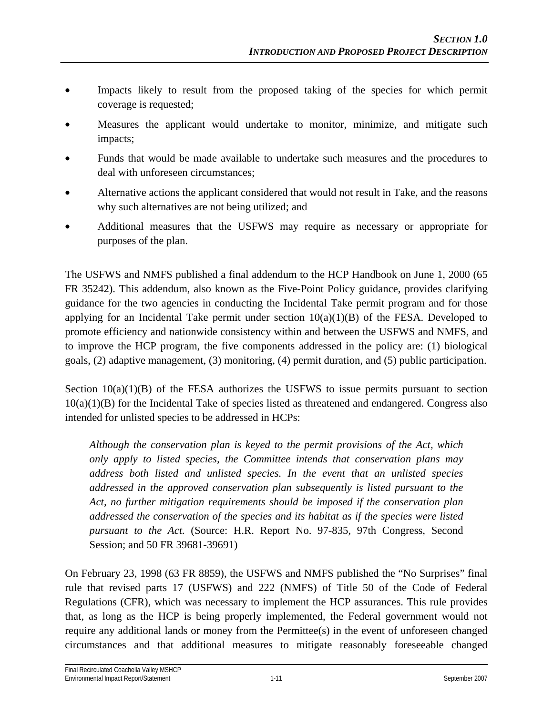- Impacts likely to result from the proposed taking of the species for which permit coverage is requested;
- Measures the applicant would undertake to monitor, minimize, and mitigate such impacts;
- Funds that would be made available to undertake such measures and the procedures to deal with unforeseen circumstances;
- Alternative actions the applicant considered that would not result in Take, and the reasons why such alternatives are not being utilized; and
- Additional measures that the USFWS may require as necessary or appropriate for purposes of the plan.

The USFWS and NMFS published a final addendum to the HCP Handbook on June 1, 2000 (65 FR 35242). This addendum, also known as the Five-Point Policy guidance, provides clarifying guidance for the two agencies in conducting the Incidental Take permit program and for those applying for an Incidental Take permit under section  $10(a)(1)(B)$  of the FESA. Developed to promote efficiency and nationwide consistency within and between the USFWS and NMFS, and to improve the HCP program, the five components addressed in the policy are: (1) biological goals, (2) adaptive management, (3) monitoring, (4) permit duration, and (5) public participation.

Section  $10(a)(1)(B)$  of the FESA authorizes the USFWS to issue permits pursuant to section  $10(a)(1)(B)$  for the Incidental Take of species listed as threatened and endangered. Congress also intended for unlisted species to be addressed in HCPs:

*Although the conservation plan is keyed to the permit provisions of the Act, which only apply to listed species, the Committee intends that conservation plans may address both listed and unlisted species. In the event that an unlisted species addressed in the approved conservation plan subsequently is listed pursuant to the Act, no further mitigation requirements should be imposed if the conservation plan addressed the conservation of the species and its habitat as if the species were listed pursuant to the Act.* (Source: H.R. Report No. 97-835, 97th Congress, Second Session; and 50 FR 39681-39691)

On February 23, 1998 (63 FR 8859), the USFWS and NMFS published the "No Surprises" final rule that revised parts 17 (USFWS) and 222 (NMFS) of Title 50 of the Code of Federal Regulations (CFR), which was necessary to implement the HCP assurances. This rule provides that, as long as the HCP is being properly implemented, the Federal government would not require any additional lands or money from the Permittee(s) in the event of unforeseen changed circumstances and that additional measures to mitigate reasonably foreseeable changed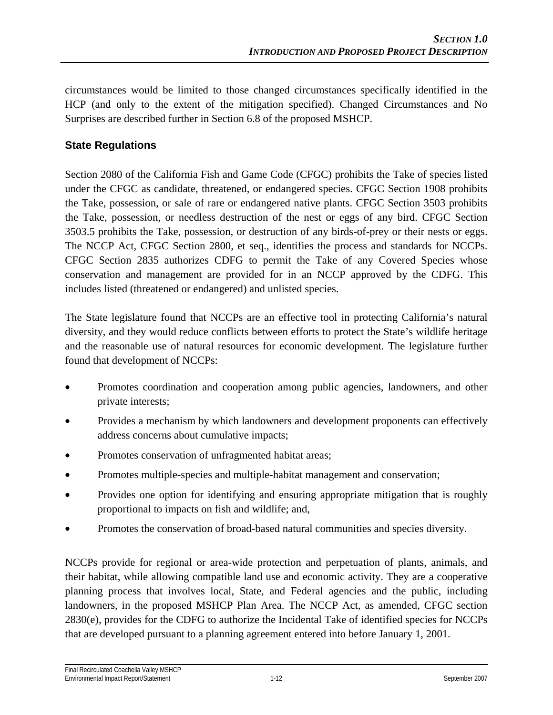circumstances would be limited to those changed circumstances specifically identified in the HCP (and only to the extent of the mitigation specified). Changed Circumstances and No Surprises are described further in Section 6.8 of the proposed MSHCP.

### **State Regulations**

Section 2080 of the California Fish and Game Code (CFGC) prohibits the Take of species listed under the CFGC as candidate, threatened, or endangered species. CFGC Section 1908 prohibits the Take, possession, or sale of rare or endangered native plants. CFGC Section 3503 prohibits the Take, possession, or needless destruction of the nest or eggs of any bird. CFGC Section 3503.5 prohibits the Take, possession, or destruction of any birds-of-prey or their nests or eggs. The NCCP Act, CFGC Section 2800, et seq., identifies the process and standards for NCCPs. CFGC Section 2835 authorizes CDFG to permit the Take of any Covered Species whose conservation and management are provided for in an NCCP approved by the CDFG. This includes listed (threatened or endangered) and unlisted species.

The State legislature found that NCCPs are an effective tool in protecting California's natural diversity, and they would reduce conflicts between efforts to protect the State's wildlife heritage and the reasonable use of natural resources for economic development. The legislature further found that development of NCCPs:

- Promotes coordination and cooperation among public agencies, landowners, and other private interests;
- Provides a mechanism by which landowners and development proponents can effectively address concerns about cumulative impacts;
- Promotes conservation of unfragmented habitat areas;
- Promotes multiple-species and multiple-habitat management and conservation;
- Provides one option for identifying and ensuring appropriate mitigation that is roughly proportional to impacts on fish and wildlife; and,
- Promotes the conservation of broad-based natural communities and species diversity.

NCCPs provide for regional or area-wide protection and perpetuation of plants, animals, and their habitat, while allowing compatible land use and economic activity. They are a cooperative planning process that involves local, State, and Federal agencies and the public, including landowners, in the proposed MSHCP Plan Area. The NCCP Act, as amended, CFGC section 2830(e), provides for the CDFG to authorize the Incidental Take of identified species for NCCPs that are developed pursuant to a planning agreement entered into before January 1, 2001.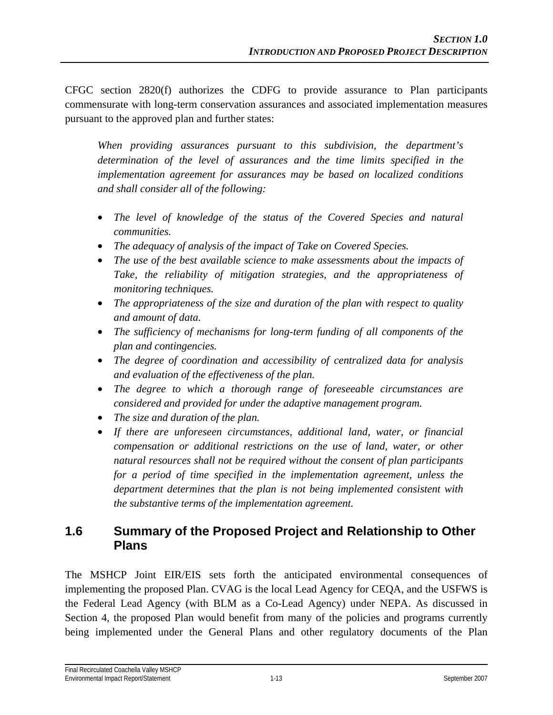CFGC section 2820(f) authorizes the CDFG to provide assurance to Plan participants commensurate with long-term conservation assurances and associated implementation measures pursuant to the approved plan and further states:

*When providing assurances pursuant to this subdivision, the department's determination of the level of assurances and the time limits specified in the implementation agreement for assurances may be based on localized conditions and shall consider all of the following:* 

- *The level of knowledge of the status of the Covered Species and natural communities.*
- *The adequacy of analysis of the impact of Take on Covered Species.*
- *The use of the best available science to make assessments about the impacts of Take, the reliability of mitigation strategies, and the appropriateness of monitoring techniques.*
- *The appropriateness of the size and duration of the plan with respect to quality and amount of data.*
- *The sufficiency of mechanisms for long-term funding of all components of the plan and contingencies.*
- *The degree of coordination and accessibility of centralized data for analysis and evaluation of the effectiveness of the plan.*
- *The degree to which a thorough range of foreseeable circumstances are considered and provided for under the adaptive management program.*
- *The size and duration of the plan.*
- *If there are unforeseen circumstances, additional land, water, or financial compensation or additional restrictions on the use of land, water, or other natural resources shall not be required without the consent of plan participants for a period of time specified in the implementation agreement, unless the department determines that the plan is not being implemented consistent with the substantive terms of the implementation agreement.*

## **1.6 Summary of the Proposed Project and Relationship to Other Plans**

The MSHCP Joint EIR/EIS sets forth the anticipated environmental consequences of implementing the proposed Plan. CVAG is the local Lead Agency for CEQA, and the USFWS is the Federal Lead Agency (with BLM as a Co-Lead Agency) under NEPA. As discussed in Section 4, the proposed Plan would benefit from many of the policies and programs currently being implemented under the General Plans and other regulatory documents of the Plan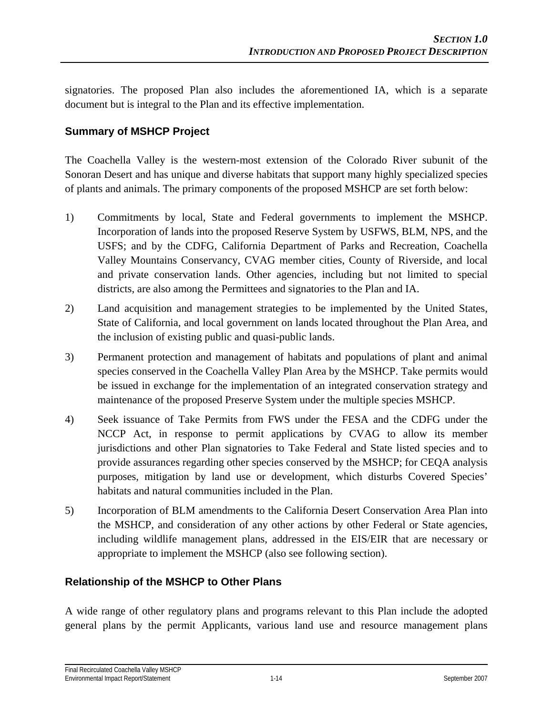signatories. The proposed Plan also includes the aforementioned IA, which is a separate document but is integral to the Plan and its effective implementation.

### **Summary of MSHCP Project**

The Coachella Valley is the western-most extension of the Colorado River subunit of the Sonoran Desert and has unique and diverse habitats that support many highly specialized species of plants and animals. The primary components of the proposed MSHCP are set forth below:

- 1) Commitments by local, State and Federal governments to implement the MSHCP. Incorporation of lands into the proposed Reserve System by USFWS, BLM, NPS, and the USFS; and by the CDFG, California Department of Parks and Recreation, Coachella Valley Mountains Conservancy, CVAG member cities, County of Riverside, and local and private conservation lands. Other agencies, including but not limited to special districts, are also among the Permittees and signatories to the Plan and IA.
- 2) Land acquisition and management strategies to be implemented by the United States, State of California, and local government on lands located throughout the Plan Area, and the inclusion of existing public and quasi-public lands.
- 3) Permanent protection and management of habitats and populations of plant and animal species conserved in the Coachella Valley Plan Area by the MSHCP. Take permits would be issued in exchange for the implementation of an integrated conservation strategy and maintenance of the proposed Preserve System under the multiple species MSHCP.
- 4) Seek issuance of Take Permits from FWS under the FESA and the CDFG under the NCCP Act, in response to permit applications by CVAG to allow its member jurisdictions and other Plan signatories to Take Federal and State listed species and to provide assurances regarding other species conserved by the MSHCP; for CEQA analysis purposes, mitigation by land use or development, which disturbs Covered Species' habitats and natural communities included in the Plan.
- 5) Incorporation of BLM amendments to the California Desert Conservation Area Plan into the MSHCP, and consideration of any other actions by other Federal or State agencies, including wildlife management plans, addressed in the EIS/EIR that are necessary or appropriate to implement the MSHCP (also see following section).

#### **Relationship of the MSHCP to Other Plans**

A wide range of other regulatory plans and programs relevant to this Plan include the adopted general plans by the permit Applicants, various land use and resource management plans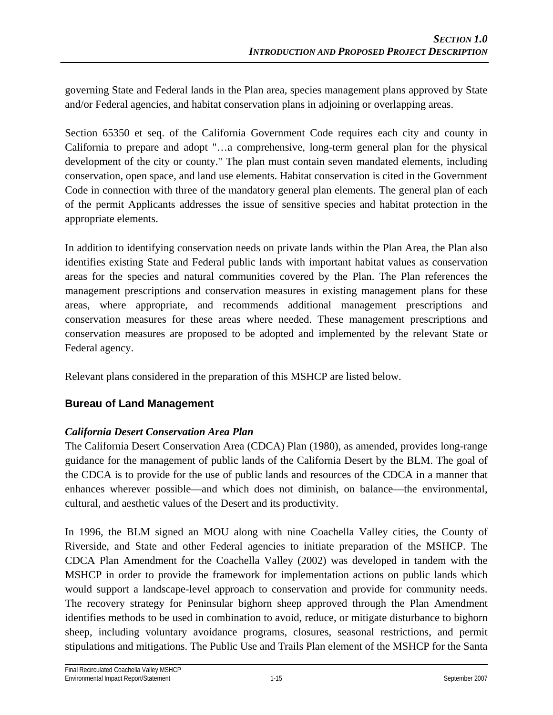governing State and Federal lands in the Plan area, species management plans approved by State and/or Federal agencies, and habitat conservation plans in adjoining or overlapping areas.

Section 65350 et seq. of the California Government Code requires each city and county in California to prepare and adopt "…a comprehensive, long-term general plan for the physical development of the city or county." The plan must contain seven mandated elements, including conservation, open space, and land use elements. Habitat conservation is cited in the Government Code in connection with three of the mandatory general plan elements. The general plan of each of the permit Applicants addresses the issue of sensitive species and habitat protection in the appropriate elements.

In addition to identifying conservation needs on private lands within the Plan Area, the Plan also identifies existing State and Federal public lands with important habitat values as conservation areas for the species and natural communities covered by the Plan. The Plan references the management prescriptions and conservation measures in existing management plans for these areas, where appropriate, and recommends additional management prescriptions and conservation measures for these areas where needed. These management prescriptions and conservation measures are proposed to be adopted and implemented by the relevant State or Federal agency.

Relevant plans considered in the preparation of this MSHCP are listed below.

#### **Bureau of Land Management**

#### *California Desert Conservation Area Plan*

The California Desert Conservation Area (CDCA) Plan (1980), as amended, provides long-range guidance for the management of public lands of the California Desert by the BLM. The goal of the CDCA is to provide for the use of public lands and resources of the CDCA in a manner that enhances wherever possible—and which does not diminish, on balance—the environmental, cultural, and aesthetic values of the Desert and its productivity.

In 1996, the BLM signed an MOU along with nine Coachella Valley cities, the County of Riverside, and State and other Federal agencies to initiate preparation of the MSHCP. The CDCA Plan Amendment for the Coachella Valley (2002) was developed in tandem with the MSHCP in order to provide the framework for implementation actions on public lands which would support a landscape-level approach to conservation and provide for community needs. The recovery strategy for Peninsular bighorn sheep approved through the Plan Amendment identifies methods to be used in combination to avoid, reduce, or mitigate disturbance to bighorn sheep, including voluntary avoidance programs, closures, seasonal restrictions, and permit stipulations and mitigations. The Public Use and Trails Plan element of the MSHCP for the Santa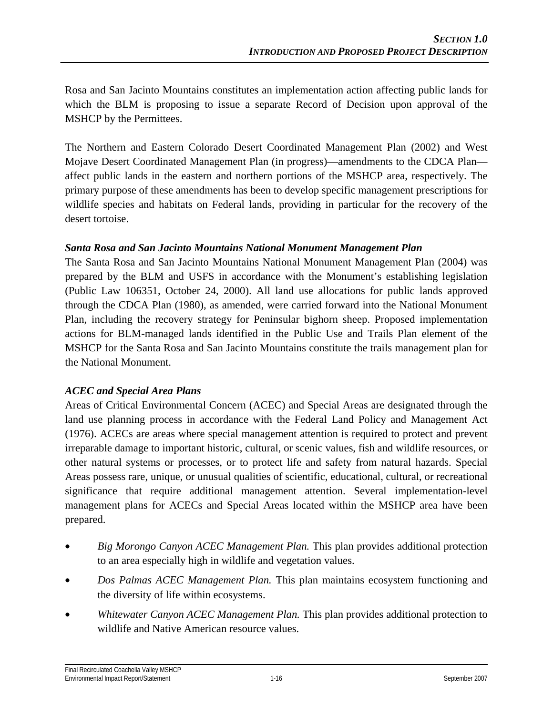Rosa and San Jacinto Mountains constitutes an implementation action affecting public lands for which the BLM is proposing to issue a separate Record of Decision upon approval of the MSHCP by the Permittees.

The Northern and Eastern Colorado Desert Coordinated Management Plan (2002) and West Mojave Desert Coordinated Management Plan (in progress)—amendments to the CDCA Plan affect public lands in the eastern and northern portions of the MSHCP area, respectively. The primary purpose of these amendments has been to develop specific management prescriptions for wildlife species and habitats on Federal lands, providing in particular for the recovery of the desert tortoise.

#### *Santa Rosa and San Jacinto Mountains National Monument Management Plan*

The Santa Rosa and San Jacinto Mountains National Monument Management Plan (2004) was prepared by the BLM and USFS in accordance with the Monument's establishing legislation (Public Law 106351, October 24, 2000). All land use allocations for public lands approved through the CDCA Plan (1980), as amended, were carried forward into the National Monument Plan, including the recovery strategy for Peninsular bighorn sheep. Proposed implementation actions for BLM-managed lands identified in the Public Use and Trails Plan element of the MSHCP for the Santa Rosa and San Jacinto Mountains constitute the trails management plan for the National Monument.

#### *ACEC and Special Area Plans*

Areas of Critical Environmental Concern (ACEC) and Special Areas are designated through the land use planning process in accordance with the Federal Land Policy and Management Act (1976). ACECs are areas where special management attention is required to protect and prevent irreparable damage to important historic, cultural, or scenic values, fish and wildlife resources, or other natural systems or processes, or to protect life and safety from natural hazards. Special Areas possess rare, unique, or unusual qualities of scientific, educational, cultural, or recreational significance that require additional management attention. Several implementation-level management plans for ACECs and Special Areas located within the MSHCP area have been prepared.

- *Big Morongo Canyon ACEC Management Plan.* This plan provides additional protection to an area especially high in wildlife and vegetation values.
- *Dos Palmas ACEC Management Plan.* This plan maintains ecosystem functioning and the diversity of life within ecosystems.
- *Whitewater Canyon ACEC Management Plan.* This plan provides additional protection to wildlife and Native American resource values.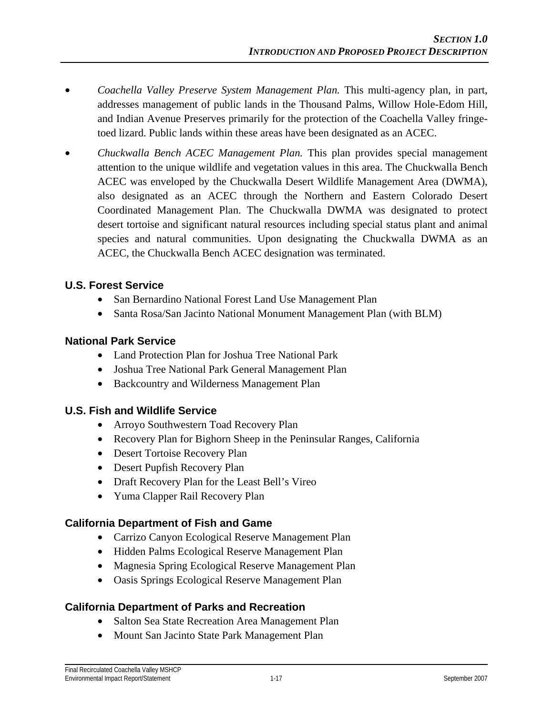- *Coachella Valley Preserve System Management Plan.* This multi-agency plan, in part, addresses management of public lands in the Thousand Palms, Willow Hole-Edom Hill, and Indian Avenue Preserves primarily for the protection of the Coachella Valley fringetoed lizard. Public lands within these areas have been designated as an ACEC.
- *Chuckwalla Bench ACEC Management Plan.* This plan provides special management attention to the unique wildlife and vegetation values in this area. The Chuckwalla Bench ACEC was enveloped by the Chuckwalla Desert Wildlife Management Area (DWMA), also designated as an ACEC through the Northern and Eastern Colorado Desert Coordinated Management Plan. The Chuckwalla DWMA was designated to protect desert tortoise and significant natural resources including special status plant and animal species and natural communities. Upon designating the Chuckwalla DWMA as an ACEC, the Chuckwalla Bench ACEC designation was terminated.

#### **U.S. Forest Service**

- San Bernardino National Forest Land Use Management Plan
- Santa Rosa/San Jacinto National Monument Management Plan (with BLM)

#### **National Park Service**

- Land Protection Plan for Joshua Tree National Park
- Joshua Tree National Park General Management Plan
- Backcountry and Wilderness Management Plan

#### **U.S. Fish and Wildlife Service**

- Arroyo Southwestern Toad Recovery Plan
- Recovery Plan for Bighorn Sheep in the Peninsular Ranges, California
- Desert Tortoise Recovery Plan
- Desert Pupfish Recovery Plan
- Draft Recovery Plan for the Least Bell's Vireo
- Yuma Clapper Rail Recovery Plan

#### **California Department of Fish and Game**

- Carrizo Canyon Ecological Reserve Management Plan
- Hidden Palms Ecological Reserve Management Plan
- Magnesia Spring Ecological Reserve Management Plan
- Oasis Springs Ecological Reserve Management Plan

#### **California Department of Parks and Recreation**

- Salton Sea State Recreation Area Management Plan
- Mount San Jacinto State Park Management Plan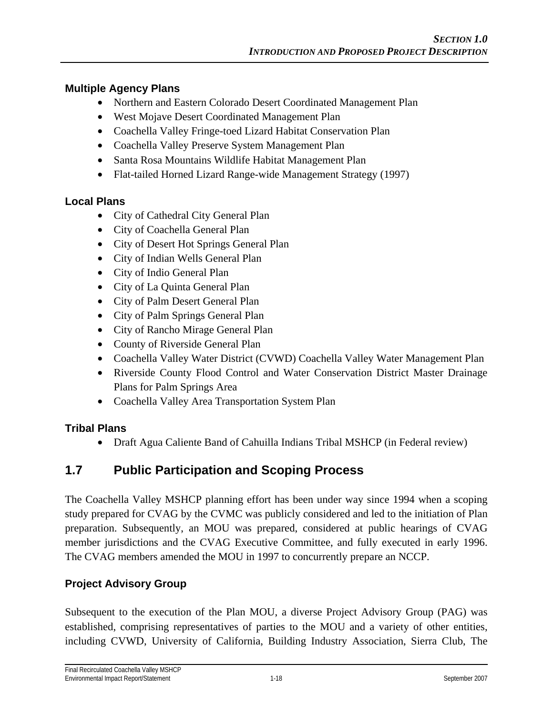#### **Multiple Agency Plans**

- Northern and Eastern Colorado Desert Coordinated Management Plan
- West Mojave Desert Coordinated Management Plan
- Coachella Valley Fringe-toed Lizard Habitat Conservation Plan
- Coachella Valley Preserve System Management Plan
- Santa Rosa Mountains Wildlife Habitat Management Plan
- Flat-tailed Horned Lizard Range-wide Management Strategy (1997)

#### **Local Plans**

- City of Cathedral City General Plan
- City of Coachella General Plan
- City of Desert Hot Springs General Plan
- City of Indian Wells General Plan
- City of Indio General Plan
- City of La Quinta General Plan
- City of Palm Desert General Plan
- City of Palm Springs General Plan
- City of Rancho Mirage General Plan
- County of Riverside General Plan
- Coachella Valley Water District (CVWD) Coachella Valley Water Management Plan
- Riverside County Flood Control and Water Conservation District Master Drainage Plans for Palm Springs Area
- Coachella Valley Area Transportation System Plan

### **Tribal Plans**

• Draft Agua Caliente Band of Cahuilla Indians Tribal MSHCP (in Federal review)

## **1.7 Public Participation and Scoping Process**

The Coachella Valley MSHCP planning effort has been under way since 1994 when a scoping study prepared for CVAG by the CVMC was publicly considered and led to the initiation of Plan preparation. Subsequently, an MOU was prepared, considered at public hearings of CVAG member jurisdictions and the CVAG Executive Committee, and fully executed in early 1996. The CVAG members amended the MOU in 1997 to concurrently prepare an NCCP.

### **Project Advisory Group**

Subsequent to the execution of the Plan MOU, a diverse Project Advisory Group (PAG) was established, comprising representatives of parties to the MOU and a variety of other entities, including CVWD, University of California, Building Industry Association, Sierra Club, The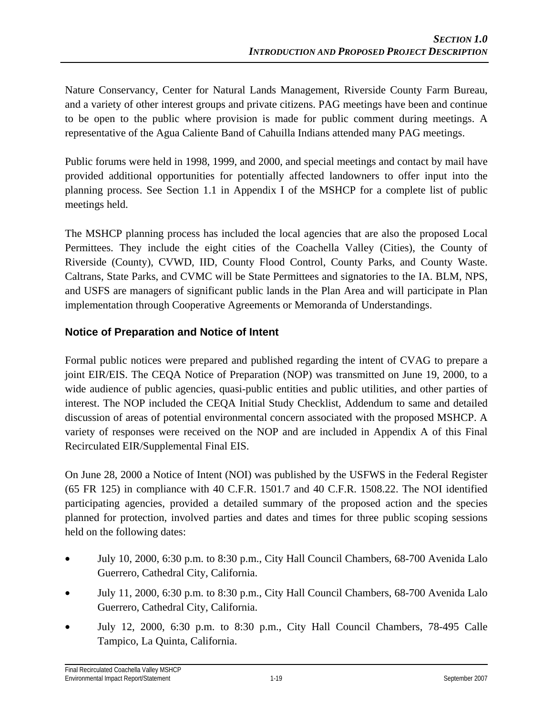Nature Conservancy, Center for Natural Lands Management, Riverside County Farm Bureau, and a variety of other interest groups and private citizens. PAG meetings have been and continue to be open to the public where provision is made for public comment during meetings. A representative of the Agua Caliente Band of Cahuilla Indians attended many PAG meetings.

Public forums were held in 1998, 1999, and 2000, and special meetings and contact by mail have provided additional opportunities for potentially affected landowners to offer input into the planning process. See Section 1.1 in Appendix I of the MSHCP for a complete list of public meetings held.

The MSHCP planning process has included the local agencies that are also the proposed Local Permittees. They include the eight cities of the Coachella Valley (Cities), the County of Riverside (County), CVWD, IID, County Flood Control, County Parks, and County Waste. Caltrans, State Parks, and CVMC will be State Permittees and signatories to the IA. BLM, NPS, and USFS are managers of significant public lands in the Plan Area and will participate in Plan implementation through Cooperative Agreements or Memoranda of Understandings.

#### **Notice of Preparation and Notice of Intent**

Formal public notices were prepared and published regarding the intent of CVAG to prepare a joint EIR/EIS. The CEQA Notice of Preparation (NOP) was transmitted on June 19, 2000, to a wide audience of public agencies, quasi-public entities and public utilities, and other parties of interest. The NOP included the CEQA Initial Study Checklist, Addendum to same and detailed discussion of areas of potential environmental concern associated with the proposed MSHCP. A variety of responses were received on the NOP and are included in Appendix A of this Final Recirculated EIR/Supplemental Final EIS.

On June 28, 2000 a Notice of Intent (NOI) was published by the USFWS in the Federal Register (65 FR 125) in compliance with 40 C.F.R. 1501.7 and 40 C.F.R. 1508.22. The NOI identified participating agencies, provided a detailed summary of the proposed action and the species planned for protection, involved parties and dates and times for three public scoping sessions held on the following dates:

- July 10, 2000, 6:30 p.m. to 8:30 p.m., City Hall Council Chambers, 68-700 Avenida Lalo Guerrero, Cathedral City, California.
- July 11, 2000, 6:30 p.m. to 8:30 p.m., City Hall Council Chambers, 68-700 Avenida Lalo Guerrero, Cathedral City, California.
- July 12, 2000, 6:30 p.m. to 8:30 p.m., City Hall Council Chambers, 78-495 Calle Tampico, La Quinta, California.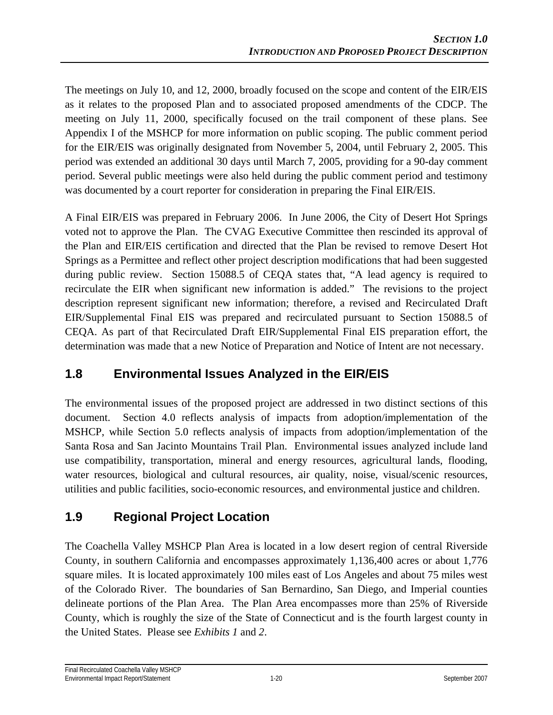The meetings on July 10, and 12, 2000, broadly focused on the scope and content of the EIR/EIS as it relates to the proposed Plan and to associated proposed amendments of the CDCP. The meeting on July 11, 2000, specifically focused on the trail component of these plans. See Appendix I of the MSHCP for more information on public scoping. The public comment period for the EIR/EIS was originally designated from November 5, 2004, until February 2, 2005. This period was extended an additional 30 days until March 7, 2005, providing for a 90-day comment period. Several public meetings were also held during the public comment period and testimony was documented by a court reporter for consideration in preparing the Final EIR/EIS.

A Final EIR/EIS was prepared in February 2006. In June 2006, the City of Desert Hot Springs voted not to approve the Plan. The CVAG Executive Committee then rescinded its approval of the Plan and EIR/EIS certification and directed that the Plan be revised to remove Desert Hot Springs as a Permittee and reflect other project description modifications that had been suggested during public review. Section 15088.5 of CEQA states that, "A lead agency is required to recirculate the EIR when significant new information is added." The revisions to the project description represent significant new information; therefore, a revised and Recirculated Draft EIR/Supplemental Final EIS was prepared and recirculated pursuant to Section 15088.5 of CEQA. As part of that Recirculated Draft EIR/Supplemental Final EIS preparation effort, the determination was made that a new Notice of Preparation and Notice of Intent are not necessary.

## **1.8 Environmental Issues Analyzed in the EIR/EIS**

The environmental issues of the proposed project are addressed in two distinct sections of this document. Section 4.0 reflects analysis of impacts from adoption/implementation of the MSHCP, while Section 5.0 reflects analysis of impacts from adoption/implementation of the Santa Rosa and San Jacinto Mountains Trail Plan. Environmental issues analyzed include land use compatibility, transportation, mineral and energy resources, agricultural lands, flooding, water resources, biological and cultural resources, air quality, noise, visual/scenic resources, utilities and public facilities, socio-economic resources, and environmental justice and children.

# **1.9 Regional Project Location**

The Coachella Valley MSHCP Plan Area is located in a low desert region of central Riverside County, in southern California and encompasses approximately 1,136,400 acres or about 1,776 square miles. It is located approximately 100 miles east of Los Angeles and about 75 miles west of the Colorado River. The boundaries of San Bernardino, San Diego, and Imperial counties delineate portions of the Plan Area. The Plan Area encompasses more than 25% of Riverside County, which is roughly the size of the State of Connecticut and is the fourth largest county in the United States. Please see *Exhibits 1* and *2*.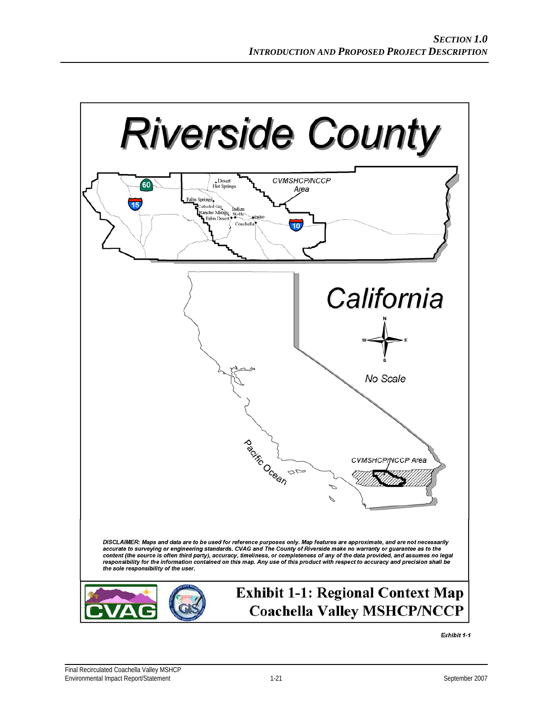